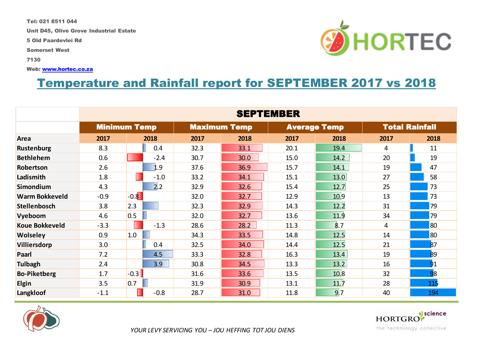Tel: 021 8511 044

Unit D45, Olive Grove Industrial Estate

5 Old Paardevlei Rd

Somerset West

7130

Web: www.hortec.co.za

## Temperature and Rainfall report for SEPTEMBER 2017 vs 2018

|                       | <b>SEPTEMBER</b> |                     |      |                     |      |                     |      |                       |  |
|-----------------------|------------------|---------------------|------|---------------------|------|---------------------|------|-----------------------|--|
|                       |                  | <b>Minimum Temp</b> |      | <b>Maximum Temp</b> |      | <b>Average Temp</b> |      | <b>Total Rainfall</b> |  |
| Area                  | 2017             | 2018                | 2017 | 2018                | 2017 | 2018                | 2017 | 2018                  |  |
| Rustenburg            | 8.3              | 0.4                 | 32.3 | 33.1                | 20.1 | 19.4                | 4    | 11                    |  |
| <b>Bethlehem</b>      | 0.6              | $-2.4$              | 30.7 | 30.0                | 15.0 | 14.2                | 20   | 19                    |  |
| Robertson             | 2.6              | 1.9                 | 37.6 | 36.9                | 15.7 | 14.1                | 19   | 47                    |  |
| Ladismith             | 1.8              | $-1.0$              | 33.2 | 34.1                | 15.1 | 13.0                | 27   | 58                    |  |
| Simondium             | 4.3              | 2.2                 | 32.9 | 32.6                | 15.4 | 12.7                | 25   | 73                    |  |
| <b>Warm Bokkeveld</b> | $-0.9$           | $-0.8$              | 32.0 | 32.7                | 12.9 | 10.9                | 13   | 73                    |  |
| <b>Stellenbosch</b>   | 3.8              | 2.3                 | 32.3 | 32.9                | 14.3 | 12.2                | 31   | 79                    |  |
| Vyeboom               | 4.6              | 0.5                 | 32.0 | 32.7                | 13.6 | 11.9                | 34   | 79                    |  |
| <b>Koue Bokkeveld</b> | $-3.3$           | $-1.3$              | 28.6 | 28.2                | 11.3 | 8.7                 | 4    | 80                    |  |
| Wolseley              | 0.9              | 1.0                 | 34.3 | 33.5                | 14.8 | 12.5                | 14   | 80                    |  |
| Villiersdorp          | 3.0              | 0.4                 | 32.5 | 34.0                | 14.4 | 12.5                | 21   | 87                    |  |
| Paarl                 | 7.2              | 4.5                 | 33.3 | 32.8                | 16.3 | 13.4                | 19   | 89                    |  |
| <b>Tulbagh</b>        | 2.4              | 3.9                 | 30.8 | 34.5                | 13.3 | 13.2                | 16   | 91                    |  |
| <b>Bo-Piketberg</b>   | 1.7              | $-0.3$              | 31.6 | 33.6                | 13.5 | 10.8                | 32   | 98                    |  |
| Elgin                 | 3.5              | 0.7                 | 31.9 | 30.9                | 13.1 | 11.7                | 28   | 115                   |  |
| Langkloof             | $-1.1$           | $-0.8$              | 28.7 | 31.0                | 11.8 | 9.7                 | 40   | 194                   |  |